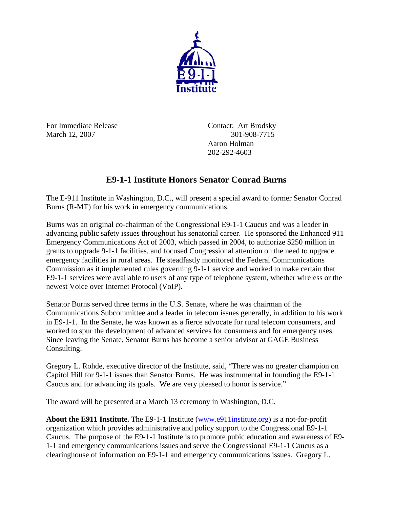

For Immediate Release Contact: Art Brodsky March 12, 2007 301-908-7715

Aaron Holman 202-292-4603

## **E9-1-1 Institute Honors Senator Conrad Burns**

The E-911 Institute in Washington, D.C., will present a special award to former Senator Conrad Burns (R-MT) for his work in emergency communications.

Burns was an original co-chairman of the Congressional E9-1-1 Caucus and was a leader in advancing public safety issues throughout his senatorial career. He sponsored the Enhanced 911 Emergency Communications Act of 2003, which passed in 2004, to authorize \$250 million in grants to upgrade 9-1-1 facilities, and focused Congressional attention on the need to upgrade emergency facilities in rural areas. He steadfastly monitored the Federal Communications Commission as it implemented rules governing 9-1-1 service and worked to make certain that E9-1-1 services were available to users of any type of telephone system, whether wireless or the newest Voice over Internet Protocol (VoIP).

Senator Burns served three terms in the U.S. Senate, where he was chairman of the Communications Subcommittee and a leader in telecom issues generally, in addition to his work in E9-1-1. In the Senate, he was known as a fierce advocate for rural telecom consumers, and worked to spur the development of advanced services for consumers and for emergency uses. Since leaving the Senate, Senator Burns has become a senior advisor at GAGE Business Consulting.

Gregory L. Rohde, executive director of the Institute, said, "There was no greater champion on Capitol Hill for 9-1-1 issues than Senator Burns. He was instrumental in founding the E9-1-1 Caucus and for advancing its goals. We are very pleased to honor is service."

The award will be presented at a March 13 ceremony in Washington, D.C.

**About the E911 Institute.** The E9-1-1 Institute ([www.e911institute.org\)](http://www.e911institute.org/) is a not-for-profit organization which provides administrative and policy support to the Congressional E9-1-1 Caucus. The purpose of the E9-1-1 Institute is to promote pubic education and awareness of E9- 1-1 and emergency communications issues and serve the Congressional E9-1-1 Caucus as a clearinghouse of information on E9-1-1 and emergency communications issues. Gregory L.